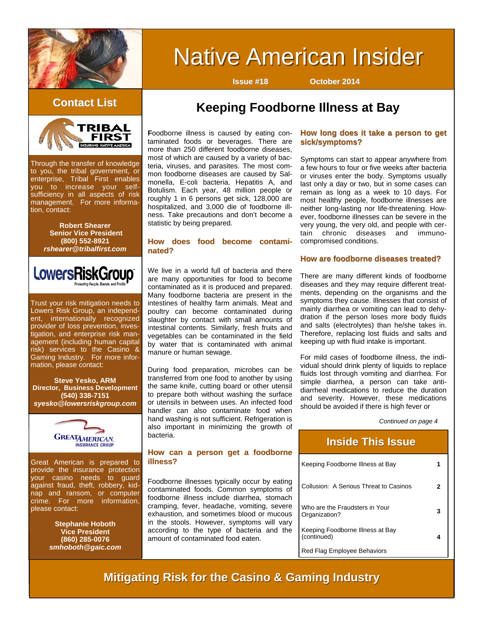

# **Native American Insider**

**Issue #18 October 2014**



Through the transfer of knowledge to you, the tribal government, or enterprise, Tribal First enables you to increase your selfsufficiency in all aspects of risk management. For more information, contact:

> **Robert Shearer Senior Vice President (800) 552-8921**  *rshearer@tribalfirst.com*



Trust your risk mitigation needs to Lowers Risk Group, an independent, internationally recognized provider of loss prevention, investigation, and enterprise risk management (including human capital risk) services to the Casino & Gaming Industry. For more information, please contact:

**Steve Yesko, ARM Director, Business Development (540) 338-7151**  *syesko@lowersriskgroup.com* 



Great American is prepared to provide the insurance protection your casino needs to guard against fraud, theft, robbery, kidnap and ransom, or computer crime. For more information, please contact:

> **Stephanie Hoboth Vice President (860) 285-0076**  *smhoboth@gaic.com*

## **Keeping Foodborne Illness at Bay Contact List Contact List**

**F**oodborne illness is caused by eating contaminated foods or beverages. There are more than 250 different foodborne diseases, most of which are caused by a variety of bacteria, viruses, and parasites. The most common foodborne diseases are caused by Salmonella, E-coli bacteria, Hepatitis A, and Botulism. Each year, 48 million people or roughly 1 in 6 persons get sick, 128,000 are hospitalized, and 3,000 die of foodborne illness. Take precautions and don't become a statistic by being prepared.

#### **How does food become contami- How does food become contaminated?**

We live in a world full of bacteria and there are many opportunities for food to become contaminated as it is produced and prepared. Many foodborne bacteria are present in the intestines of healthy farm animals. Meat and poultry can become contaminated during slaughter by contact with small amounts of intestinal contents. Similarly, fresh fruits and vegetables can be contaminated in the field by water that is contaminated with animal manure or human sewage.

During food preparation, microbes can be transferred from one food to another by using the same knife, cutting board or other utensil to prepare both without washing the surface or utensils in between uses. An infected food handler can also contaminate food when hand washing is not sufficient. Refrigeration is also important in minimizing the growth of bacteria.

#### How can a person get a foodborne **illness?**

Foodborne illnesses typically occur by eating contaminated foods. Common symptoms of foodborne illness include diarrhea, stomach cramping, fever, headache, vomiting, severe exhaustion, and sometimes blood or mucous in the stools. However, symptoms will vary according to the type of bacteria and the amount of contaminated food eaten.

#### How long does it take a person to get **sick/symptoms?**

Symptoms can start to appear anywhere from a few hours to four or five weeks after bacteria or viruses enter the body. Symptoms usually last only a day or two, but in some cases can remain as long as a week to 10 days. For most healthy people, foodborne illnesses are neither long-lasting nor life-threatening. However, foodborne illnesses can be severe in the very young, the very old, and people with certain chronic diseases and immunocompromised conditions.

#### **How are foodborne diseases treated?**

There are many different kinds of foodborne diseases and they may require different treatments, depending on the organisms and the symptoms they cause. Illnesses that consist of mainly diarrhea or vomiting can lead to dehydration if the person loses more body fluids and salts (electrolytes) than he/she takes in. Therefore, replacing lost fluids and salts and keeping up with fluid intake is important.

For mild cases of foodborne illness, the individual should drink plenty of liquids to replace fluids lost through vomiting and diarrhea. For simple diarrhea, a person can take antidiarrheal medications to reduce the duration and severity. However, these medications should be avoided if there is high fever or

*Continued on page 4* 

| <b>Inside This Issue</b>                        |  |
|-------------------------------------------------|--|
| Keeping Foodborne Illness at Bay                |  |
| Collusion: A Serious Threat to Casinos          |  |
| Who are the Fraudsters in Your<br>Organization? |  |
| Keeping Foodborne Illness at Bay<br>(continued) |  |
| Red Flag Employee Behaviors                     |  |

### **Mitigating Risk for the Casino & Gaming Industry**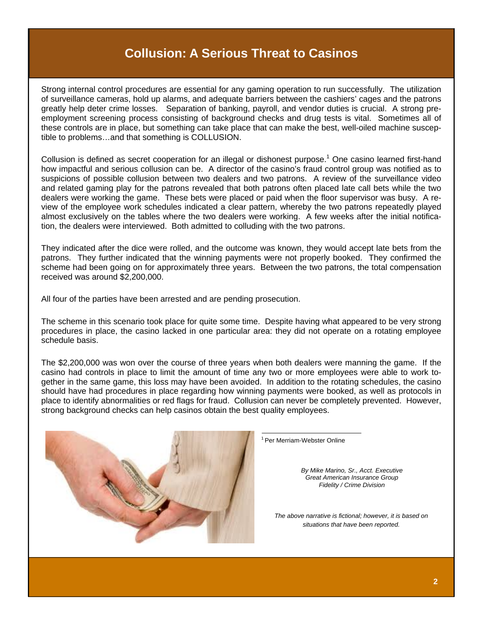### **Collusion: A Serious Threat to Casinos**

Strong internal control procedures are essential for any gaming operation to run successfully. The utilization of surveillance cameras, hold up alarms, and adequate barriers between the cashiers' cages and the patrons greatly help deter crime losses. Separation of banking, payroll, and vendor duties is crucial. A strong preemployment screening process consisting of background checks and drug tests is vital. Sometimes all of these controls are in place, but something can take place that can make the best, well-oiled machine susceptible to problems…and that something is COLLUSION.

Collusion is defined as secret cooperation for an illegal or dishonest purpose.<sup>1</sup> One casino learned first-hand how impactful and serious collusion can be. A director of the casino's fraud control group was notified as to suspicions of possible collusion between two dealers and two patrons. A review of the surveillance video and related gaming play for the patrons revealed that both patrons often placed late call bets while the two dealers were working the game. These bets were placed or paid when the floor supervisor was busy. A review of the employee work schedules indicated a clear pattern, whereby the two patrons repeatedly played almost exclusively on the tables where the two dealers were working. A few weeks after the initial notification, the dealers were interviewed. Both admitted to colluding with the two patrons.

They indicated after the dice were rolled, and the outcome was known, they would accept late bets from the patrons. They further indicated that the winning payments were not properly booked. They confirmed the scheme had been going on for approximately three years. Between the two patrons, the total compensation received was around \$2,200,000.

All four of the parties have been arrested and are pending prosecution.

The scheme in this scenario took place for quite some time. Despite having what appeared to be very strong procedures in place, the casino lacked in one particular area: they did not operate on a rotating employee schedule basis.

The \$2,200,000 was won over the course of three years when both dealers were manning the game. If the casino had controls in place to limit the amount of time any two or more employees were able to work together in the same game, this loss may have been avoided. In addition to the rotating schedules, the casino should have had procedures in place regarding how winning payments were booked, as well as protocols in place to identify abnormalities or red flags for fraud. Collusion can never be completely prevented. However, strong background checks can help casinos obtain the best quality employees.



1 Per Merriam-Webster Online

*By Mike Marino, Sr., Acct. Executive Great American Insurance Group Fidelity / Crime Division* 

*The above narrative is fictional; however, it is based on situations that have been reported.*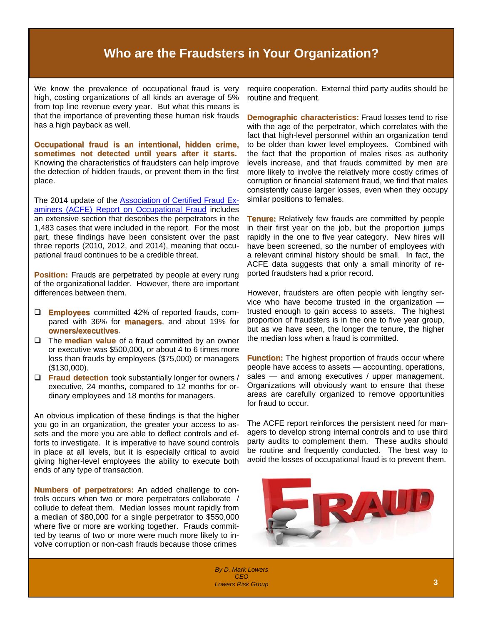### **Who are the Fraudsters in Your Organization?**

We know the prevalence of occupational fraud is very high, costing organizations of all kinds an average of 5% from top line revenue every year. But what this means is that the importance of preventing these human risk frauds has a high payback as well.

**Occupational fraud is an intentional, hidden crime,** sometimes not detected until years after it starts. Knowing the characteristics of fraudsters can help improve the detection of hidden frauds, or prevent them in the first place.

The 2014 update of the **[Association of Certified Fraud Ex](http://www.acfe.com/rttn/docs/2014-report-to-nations.pdf)**[aminers \(ACFE\) Report on Occupational Fraud](http://www.acfe.com/rttn/docs/2014-report-to-nations.pdf) includes an extensive section that describes the perpetrators in the 1,483 cases that were included in the report. For the most part, these findings have been consistent over the past three reports (2010, 2012, and 2014), meaning that occupational fraud continues to be a credible threat.

**Position:** Frauds are perpetrated by people at every rung of the organizational ladder. However, there are important differences between them.

- **Employees** committed 42% of reported frauds, compared with 36% for **managers**, and about 19% for **owners/executives**.
- The **median value value** of a fraud committed by an owner or executive was \$500,000, or about 4 to 6 times more loss than frauds by employees (\$75,000) or managers (\$130,000).
- **Fraud detection** took substantially longer for owners / executive, 24 months, compared to 12 months for ordinary employees and 18 months for managers.

An obvious implication of these findings is that the higher you go in an organization, the greater your access to assets and the more you are able to deflect controls and efforts to investigate. It is imperative to have sound controls in place at all levels, but it is especially critical to avoid giving higher-level employees the ability to execute both ends of any type of transaction.

**Numbers of perpetrators:** An added challenge to controls occurs when two or more perpetrators collaborate / collude to defeat them. Median losses mount rapidly from a median of \$80,000 for a single perpetrator to \$550,000 where five or more are working together. Frauds committed by teams of two or more were much more likely to involve corruption or non-cash frauds because those crimes

require cooperation. External third party audits should be routine and frequent.

**Demographic characteristics:** Fraud losses tend to rise with the age of the perpetrator, which correlates with the fact that high-level personnel within an organization tend to be older than lower level employees. Combined with the fact that the proportion of males rises as authority levels increase, and that frauds committed by men are more likely to involve the relatively more costly crimes of corruption or financial statement fraud, we find that males consistently cause larger losses, even when they occupy similar positions to females.

**Tenure: Tenure:** Relatively few frauds are committed by people in their first year on the job, but the proportion jumps rapidly in the one to five year category. New hires will have been screened, so the number of employees with a relevant criminal history should be small. In fact, the ACFE data suggests that only a small minority of reported fraudsters had a prior record.

However, fraudsters are often people with lengthy service who have become trusted in the organization trusted enough to gain access to assets. The highest proportion of fraudsters is in the one to five year group, but as we have seen, the longer the tenure, the higher the median loss when a fraud is committed.

**Function:** The highest proportion of frauds occur where people have access to assets — accounting, operations, sales — and among executives / upper management. Organizations will obviously want to ensure that these areas are carefully organized to remove opportunities for fraud to occur.

The ACFE report reinforces the persistent need for managers to develop strong internal controls and to use third party audits to complement them. These audits should be routine and frequently conducted. The best way to avoid the losses of occupational fraud is to prevent them.



المساحة المساحة المساحة المساحة المساحة المساحة المساحة المساحة المساحة المساحة المساحة المساحة المساحة المساح<br>2**3** المساحة المساحة المساحة المساحة المساحة المساحة المساحة المساحة المساحة المساحة المساحة المساحة المساحة ا *By D. Mark Lowers [CEO](http://www.lowersriskgroup.com/news/index.php?id=11) Lowers Risk Group*